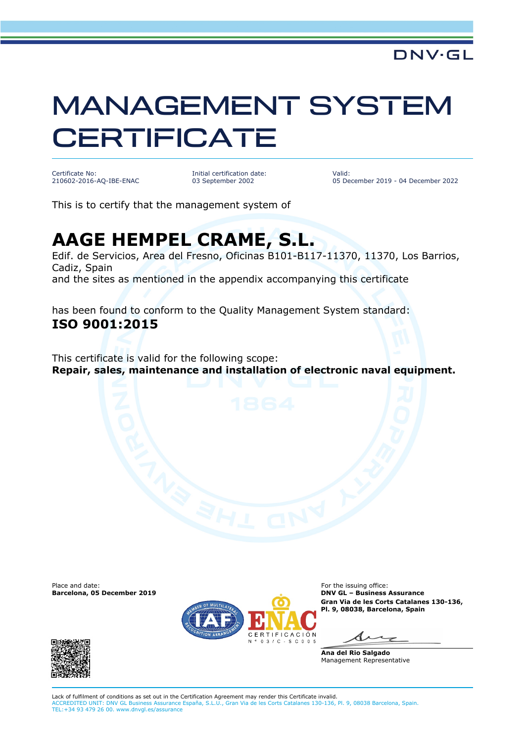## MANAGEMENT SYSTEM **CERTIFICATE**

Certificate No: 210602-2016-AQ-IBE-ENAC Initial certification date: 03 September 2002

Valid: 05 December 2019 - 04 December 2022

This is to certify that the management system of

## **AAGE HEMPEL CRAME, S.L.**

Edif. de Servicios, Area del Fresno, Oficinas B101-B117-11370, 11370, Los Barrios, Cadiz, Spain and the sites as mentioned in the appendix accompanying this certificate

has been found to conform to the Quality Management System standard: **ISO 9001:2015**

This certificate is valid for the following scope: **Repair, sales, maintenance and installation of electronic naval equipment.**

**Barcelona, 05 December 2019** 





Place and date:<br> **Barcelona, 05 December 2019** Contract Contract Contract Contract Contract Contract Contract Contract Contract Con<br> **Barcelona, 05 December 2019** Contract Contract Contract Contract Contract Contract Contr **Gran Via de les Corts Catalanes 130-136, Pl. 9, 08038, Barcelona, Spain**

**Ana del Rio Salgado** Management Representative

Lack of fulfilment of conditions as set out in the Certification Agreement may render this Certificate invalid. ACCREDITED UNIT: DNV GL Business Assurance España, S.L.U., Gran Via de les Corts Catalanes 130-136, Pl. 9, 08038 Barcelona, Spain. TEL:+34 93 479 26 00. www.dnvgl.es/assurance